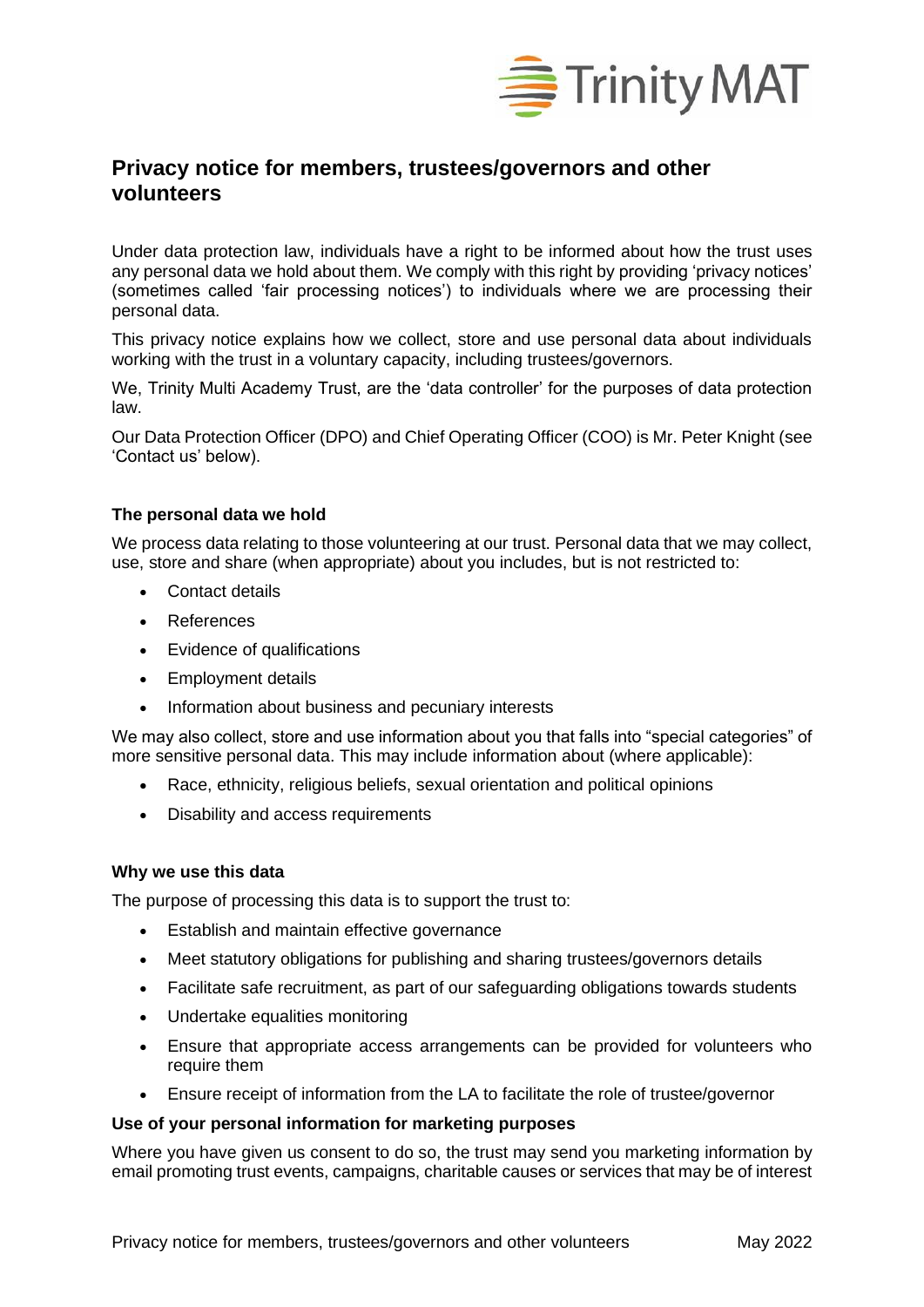

# **Privacy notice for members, trustees/governors and other volunteers**

Under data protection law, individuals have a right to be informed about how the trust uses any personal data we hold about them. We comply with this right by providing 'privacy notices' (sometimes called 'fair processing notices') to individuals where we are processing their personal data.

This privacy notice explains how we collect, store and use personal data about individuals working with the trust in a voluntary capacity, including trustees/governors.

We, Trinity Multi Academy Trust, are the 'data controller' for the purposes of data protection law.

Our Data Protection Officer (DPO) and Chief Operating Officer (COO) is Mr. Peter Knight (see 'Contact us' below).

# **The personal data we hold**

We process data relating to those volunteering at our trust. Personal data that we may collect, use, store and share (when appropriate) about you includes, but is not restricted to:

- Contact details
- References
- Evidence of qualifications
- Employment details
- Information about business and pecuniary interests

We may also collect, store and use information about you that falls into "special categories" of more sensitive personal data. This may include information about (where applicable):

- Race, ethnicity, religious beliefs, sexual orientation and political opinions
- Disability and access requirements

#### **Why we use this data**

The purpose of processing this data is to support the trust to:

- Establish and maintain effective governance
- Meet statutory obligations for publishing and sharing trustees/governors details
- Facilitate safe recruitment, as part of our safeguarding obligations towards students
- Undertake equalities monitoring
- Ensure that appropriate access arrangements can be provided for volunteers who require them
- Ensure receipt of information from the LA to facilitate the role of trustee/governor

#### **Use of your personal information for marketing purposes**

Where you have given us consent to do so, the trust may send you marketing information by email promoting trust events, campaigns, charitable causes or services that may be of interest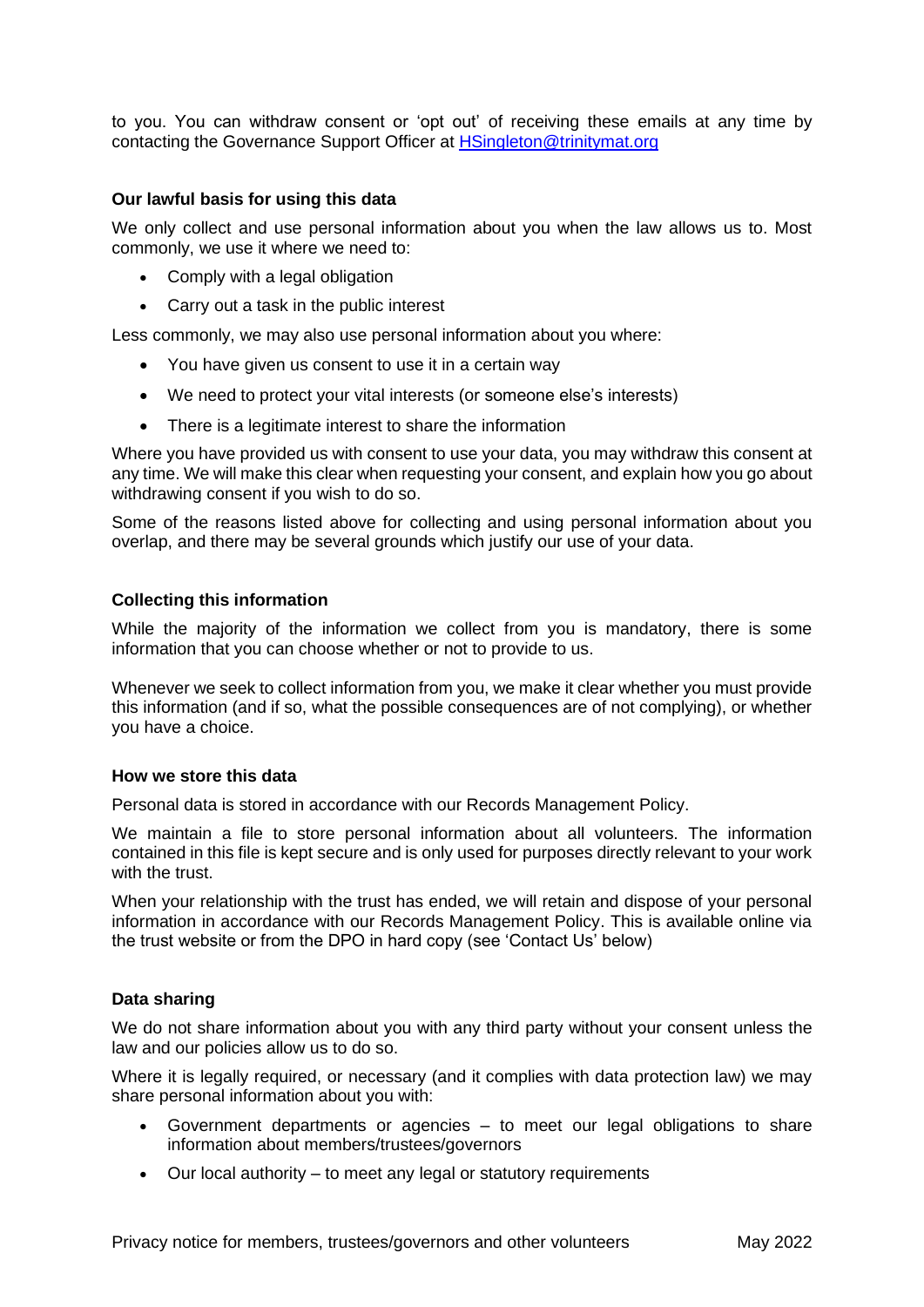to you. You can withdraw consent or 'opt out' of receiving these emails at any time by contacting the Governance Support Officer at [HSingleton@trinitymat.org](mailto:HSingleton@trinitymat.org)

# **Our lawful basis for using this data**

We only collect and use personal information about you when the law allows us to. Most commonly, we use it where we need to:

- Comply with a legal obligation
- Carry out a task in the public interest

Less commonly, we may also use personal information about you where:

- You have given us consent to use it in a certain way
- We need to protect your vital interests (or someone else's interests)
- There is a legitimate interest to share the information

Where you have provided us with consent to use your data, you may withdraw this consent at any time. We will make this clear when requesting your consent, and explain how you go about withdrawing consent if you wish to do so.

Some of the reasons listed above for collecting and using personal information about you overlap, and there may be several grounds which justify our use of your data.

# **Collecting this information**

While the majority of the information we collect from you is mandatory, there is some information that you can choose whether or not to provide to us.

Whenever we seek to collect information from you, we make it clear whether you must provide this information (and if so, what the possible consequences are of not complying), or whether you have a choice.

#### **How we store this data**

Personal data is stored in accordance with our Records Management Policy.

We maintain a file to store personal information about all volunteers. The information contained in this file is kept secure and is only used for purposes directly relevant to your work with the trust.

When your relationship with the trust has ended, we will retain and dispose of your personal information in accordance with our Records Management Policy. This is available online via the trust website or from the DPO in hard copy (see 'Contact Us' below)

#### **Data sharing**

We do not share information about you with any third party without your consent unless the law and our policies allow us to do so.

Where it is legally required, or necessary (and it complies with data protection law) we may share personal information about you with:

- Government departments or agencies to meet our legal obligations to share information about members/trustees/governors
- Our local authority to meet any legal or statutory requirements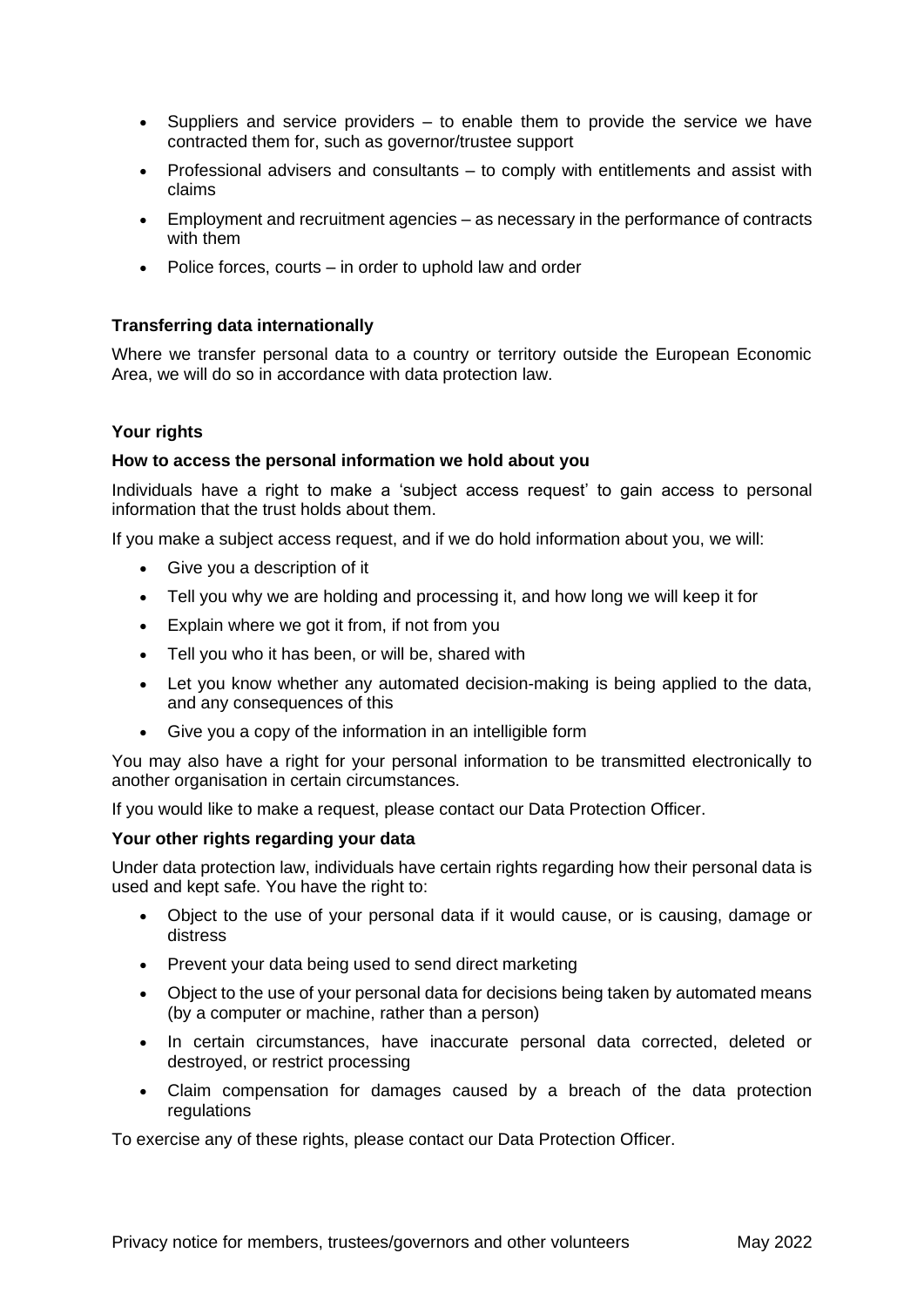- Suppliers and service providers to enable them to provide the service we have contracted them for, such as governor/trustee support
- Professional advisers and consultants to comply with entitlements and assist with claims
- Employment and recruitment agencies as necessary in the performance of contracts with them
- Police forces, courts in order to uphold law and order

# **Transferring data internationally**

Where we transfer personal data to a country or territory outside the European Economic Area, we will do so in accordance with data protection law.

# **Your rights**

#### **How to access the personal information we hold about you**

Individuals have a right to make a 'subject access request' to gain access to personal information that the trust holds about them.

If you make a subject access request, and if we do hold information about you, we will:

- Give you a description of it
- Tell you why we are holding and processing it, and how long we will keep it for
- Explain where we got it from, if not from you
- Tell you who it has been, or will be, shared with
- Let you know whether any automated decision-making is being applied to the data, and any consequences of this
- Give you a copy of the information in an intelligible form

You may also have a right for your personal information to be transmitted electronically to another organisation in certain circumstances.

If you would like to make a request, please contact our Data Protection Officer.

#### **Your other rights regarding your data**

Under data protection law, individuals have certain rights regarding how their personal data is used and kept safe. You have the right to:

- Object to the use of your personal data if it would cause, or is causing, damage or distress
- Prevent your data being used to send direct marketing
- Object to the use of your personal data for decisions being taken by automated means (by a computer or machine, rather than a person)
- In certain circumstances, have inaccurate personal data corrected, deleted or destroyed, or restrict processing
- Claim compensation for damages caused by a breach of the data protection regulations

To exercise any of these rights, please contact our Data Protection Officer.